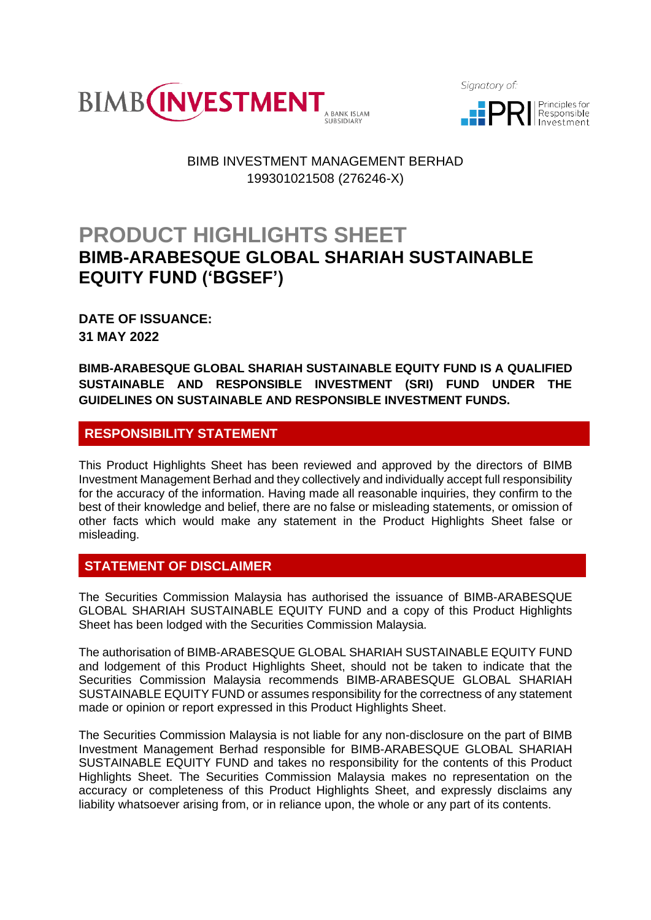

Signatory of:



## BIMB INVESTMENT MANAGEMENT BERHAD 199301021508 (276246-X)

# **PRODUCT HIGHLIGHTS SHEET BIMB-ARABESQUE GLOBAL SHARIAH SUSTAINABLE EQUITY FUND ('BGSEF')**

**DATE OF ISSUANCE: 31 MAY 2022**

**BIMB-ARABESQUE GLOBAL SHARIAH SUSTAINABLE EQUITY FUND IS A QUALIFIED SUSTAINABLE AND RESPONSIBLE INVESTMENT (SRI) FUND UNDER THE GUIDELINES ON SUSTAINABLE AND RESPONSIBLE INVESTMENT FUNDS.**

## **RESPONSIBILITY STATEMENT**

This Product Highlights Sheet has been reviewed and approved by the directors of BIMB Investment Management Berhad and they collectively and individually accept full responsibility for the accuracy of the information. Having made all reasonable inquiries, they confirm to the best of their knowledge and belief, there are no false or misleading statements, or omission of other facts which would make any statement in the Product Highlights Sheet false or misleading.

## **STATEMENT OF DISCLAIMER**

The Securities Commission Malaysia has authorised the issuance of BIMB-ARABESQUE GLOBAL SHARIAH SUSTAINABLE EQUITY FUND and a copy of this Product Highlights Sheet has been lodged with the Securities Commission Malaysia.

The authorisation of BIMB-ARABESQUE GLOBAL SHARIAH SUSTAINABLE EQUITY FUND and lodgement of this Product Highlights Sheet, should not be taken to indicate that the Securities Commission Malaysia recommends BIMB-ARABESQUE GLOBAL SHARIAH SUSTAINABLE EQUITY FUND or assumes responsibility for the correctness of any statement made or opinion or report expressed in this Product Highlights Sheet.

The Securities Commission Malaysia is not liable for any non-disclosure on the part of BIMB Investment Management Berhad responsible for BIMB-ARABESQUE GLOBAL SHARIAH SUSTAINABLE EQUITY FUND and takes no responsibility for the contents of this Product Highlights Sheet. The Securities Commission Malaysia makes no representation on the accuracy or completeness of this Product Highlights Sheet, and expressly disclaims any liability whatsoever arising from, or in reliance upon, the whole or any part of its contents.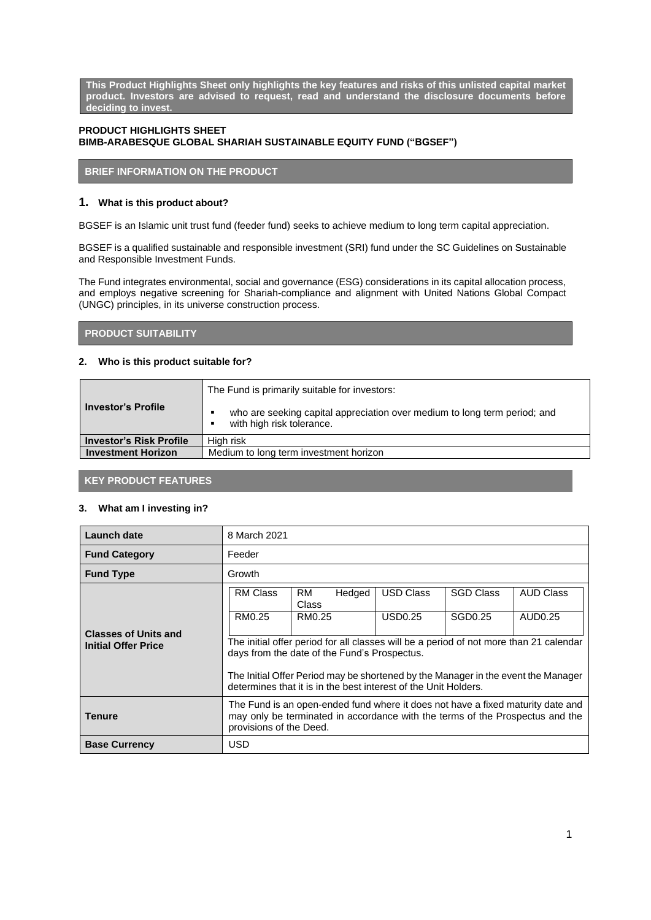**This Product Highlights Sheet only highlights the key features and risks of this unlisted capital market product. Investors are advised to request, read and understand the disclosure documents before deciding to invest.**

## **PRODUCT HIGHLIGHTS SHEET BIMB-ARABESQUE GLOBAL SHARIAH SUSTAINABLE EQUITY FUND ("BGSEF")**

## **BRIEF INFORMATION ON THE PRODUCT**

## **1. What is this product about?**

BGSEF is an Islamic unit trust fund (feeder fund) seeks to achieve medium to long term capital appreciation.

BGSEF is a qualified sustainable and responsible investment (SRI) fund under the SC Guidelines on Sustainable and Responsible Investment Funds.

The Fund integrates environmental, social and governance (ESG) considerations in its capital allocation process, and employs negative screening for Shariah-compliance and alignment with United Nations Global Compact (UNGC) principles, in its universe construction process.

## **PRODUCT SUITABILITY**

## **2. Who is this product suitable for?**

|                                | The Fund is primarily suitable for investors:                                                                                              |  |
|--------------------------------|--------------------------------------------------------------------------------------------------------------------------------------------|--|
| <b>Investor's Profile</b>      | who are seeking capital appreciation over medium to long term period; and<br>$\blacksquare$<br>with high risk tolerance.<br>$\blacksquare$ |  |
| <b>Investor's Risk Profile</b> | High risk                                                                                                                                  |  |
| <b>Investment Horizon</b>      | Medium to long term investment horizon                                                                                                     |  |

## **KEY PRODUCT FEATURES**

### **3. What am I investing in?**

| Launch date                                               | 8 March 2021                                                                                                                                                                                |                              |                     |                  |                  |
|-----------------------------------------------------------|---------------------------------------------------------------------------------------------------------------------------------------------------------------------------------------------|------------------------------|---------------------|------------------|------------------|
| <b>Fund Category</b>                                      | Feeder                                                                                                                                                                                      |                              |                     |                  |                  |
| <b>Fund Type</b>                                          | Growth                                                                                                                                                                                      |                              |                     |                  |                  |
|                                                           | <b>RM Class</b>                                                                                                                                                                             | RM<br>Hedged<br><b>Class</b> | <b>USD Class</b>    | <b>SGD Class</b> | <b>AUD Class</b> |
|                                                           | RM0.25                                                                                                                                                                                      | RM0.25                       | USD <sub>0.25</sub> | SGD0.25          | AUD0.25          |
| <b>Classes of Units and</b><br><b>Initial Offer Price</b> | The initial offer period for all classes will be a period of not more than 21 calendar<br>days from the date of the Fund's Prospectus.                                                      |                              |                     |                  |                  |
|                                                           | The Initial Offer Period may be shortened by the Manager in the event the Manager<br>determines that it is in the best interest of the Unit Holders.                                        |                              |                     |                  |                  |
| <b>Tenure</b>                                             | The Fund is an open-ended fund where it does not have a fixed maturity date and<br>may only be terminated in accordance with the terms of the Prospectus and the<br>provisions of the Deed. |                              |                     |                  |                  |
| <b>Base Currency</b>                                      | <b>USD</b>                                                                                                                                                                                  |                              |                     |                  |                  |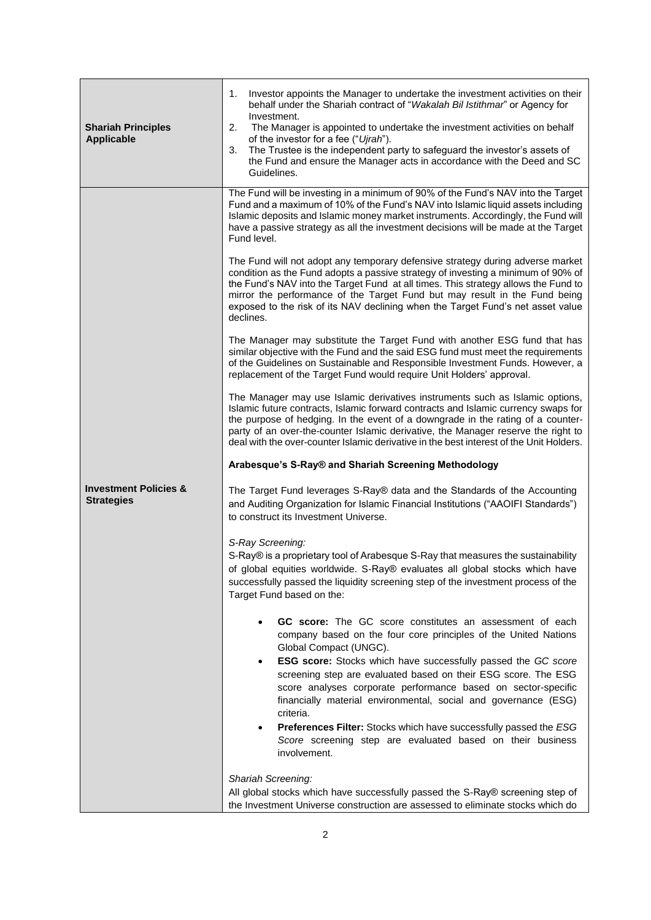| <b>Shariah Principles</b><br><b>Applicable</b>        | Investor appoints the Manager to undertake the investment activities on their<br>1.<br>behalf under the Shariah contract of "Wakalah Bil Istithmar" or Agency for<br>Investment.<br>2.<br>The Manager is appointed to undertake the investment activities on behalf<br>of the investor for a fee ("Ujrah").<br>The Trustee is the independent party to safeguard the investor's assets of<br>3.<br>the Fund and ensure the Manager acts in accordance with the Deed and SC<br>Guidelines.                                                                                                                                                                                                                                                                                                                                                                                                                                                                                                                                                                                                                                                                                                                                                                                                                                                                                                                                                                                                                                                                                                                                                                                                                                                                                                                                                                                                                                                                                                                                                                                                                                                                                                                                                                                              |
|-------------------------------------------------------|----------------------------------------------------------------------------------------------------------------------------------------------------------------------------------------------------------------------------------------------------------------------------------------------------------------------------------------------------------------------------------------------------------------------------------------------------------------------------------------------------------------------------------------------------------------------------------------------------------------------------------------------------------------------------------------------------------------------------------------------------------------------------------------------------------------------------------------------------------------------------------------------------------------------------------------------------------------------------------------------------------------------------------------------------------------------------------------------------------------------------------------------------------------------------------------------------------------------------------------------------------------------------------------------------------------------------------------------------------------------------------------------------------------------------------------------------------------------------------------------------------------------------------------------------------------------------------------------------------------------------------------------------------------------------------------------------------------------------------------------------------------------------------------------------------------------------------------------------------------------------------------------------------------------------------------------------------------------------------------------------------------------------------------------------------------------------------------------------------------------------------------------------------------------------------------------------------------------------------------------------------------------------------------|
| <b>Investment Policies &amp;</b><br><b>Strategies</b> | The Fund will be investing in a minimum of 90% of the Fund's NAV into the Target<br>Fund and a maximum of 10% of the Fund's NAV into Islamic liquid assets including<br>Islamic deposits and Islamic money market instruments. Accordingly, the Fund will<br>have a passive strategy as all the investment decisions will be made at the Target<br>Fund level.<br>The Fund will not adopt any temporary defensive strategy during adverse market<br>condition as the Fund adopts a passive strategy of investing a minimum of 90% of<br>the Fund's NAV into the Target Fund at all times. This strategy allows the Fund to<br>mirror the performance of the Target Fund but may result in the Fund being<br>exposed to the risk of its NAV declining when the Target Fund's net asset value<br>declines.<br>The Manager may substitute the Target Fund with another ESG fund that has<br>similar objective with the Fund and the said ESG fund must meet the requirements<br>of the Guidelines on Sustainable and Responsible Investment Funds. However, a<br>replacement of the Target Fund would require Unit Holders' approval.<br>The Manager may use Islamic derivatives instruments such as Islamic options,<br>Islamic future contracts, Islamic forward contracts and Islamic currency swaps for<br>the purpose of hedging. In the event of a downgrade in the rating of a counter-<br>party of an over-the-counter Islamic derivative, the Manager reserve the right to<br>deal with the over-counter Islamic derivative in the best interest of the Unit Holders.<br>Arabesque's S-Ray® and Shariah Screening Methodology<br>The Target Fund leverages S-Ray® data and the Standards of the Accounting<br>and Auditing Organization for Islamic Financial Institutions ("AAOIFI Standards")<br>to construct its Investment Universe.<br>S-Ray Screening:<br>S-Ray® is a proprietary tool of Arabesque S-Ray that measures the sustainability<br>of global equities worldwide. S-Ray® evaluates all global stocks which have<br>successfully passed the liquidity screening step of the investment process of the<br>Target Fund based on the:<br>GC score: The GC score constitutes an assessment of each<br>company based on the four core principles of the United Nations |
|                                                       | Global Compact (UNGC).<br>ESG score: Stocks which have successfully passed the GC score<br>$\bullet$<br>screening step are evaluated based on their ESG score. The ESG<br>score analyses corporate performance based on sector-specific<br>financially material environmental, social and governance (ESG)<br>criteria.<br>Preferences Filter: Stocks which have successfully passed the ESG<br>٠<br>Score screening step are evaluated based on their business<br>involvement.                                                                                                                                                                                                                                                                                                                                                                                                                                                                                                                                                                                                                                                                                                                                                                                                                                                                                                                                                                                                                                                                                                                                                                                                                                                                                                                                                                                                                                                                                                                                                                                                                                                                                                                                                                                                        |
|                                                       | Shariah Screening:<br>All global stocks which have successfully passed the S-Ray® screening step of<br>the Investment Universe construction are assessed to eliminate stocks which do                                                                                                                                                                                                                                                                                                                                                                                                                                                                                                                                                                                                                                                                                                                                                                                                                                                                                                                                                                                                                                                                                                                                                                                                                                                                                                                                                                                                                                                                                                                                                                                                                                                                                                                                                                                                                                                                                                                                                                                                                                                                                                  |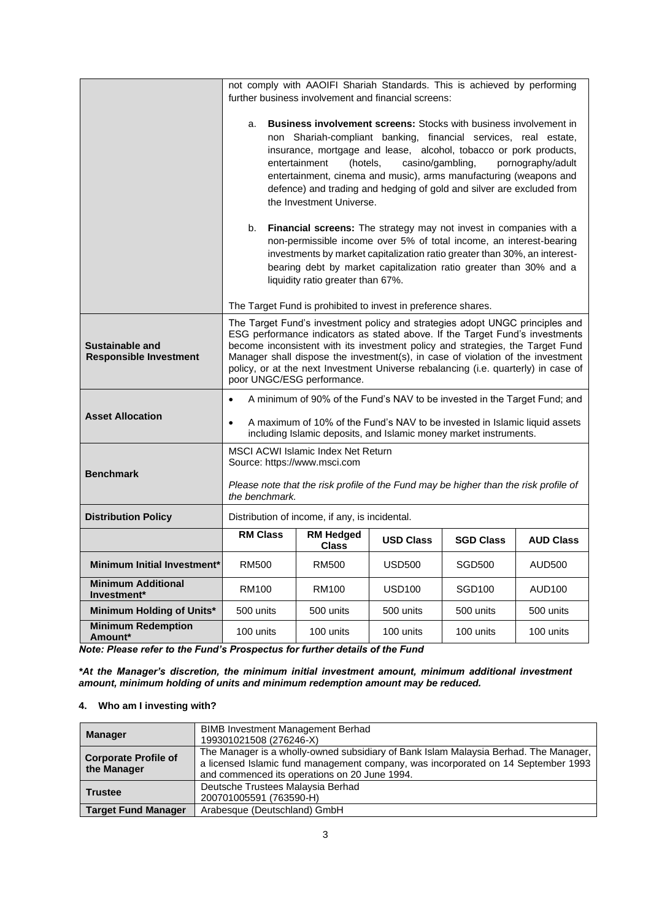|                                                  | not comply with AAOIFI Shariah Standards. This is achieved by performing                                                                                                                                                                                                                                                                                                                                                                                                                                                                                                                                                                                                                                                                                                                                          |                                           |                  |                    |                  |
|--------------------------------------------------|-------------------------------------------------------------------------------------------------------------------------------------------------------------------------------------------------------------------------------------------------------------------------------------------------------------------------------------------------------------------------------------------------------------------------------------------------------------------------------------------------------------------------------------------------------------------------------------------------------------------------------------------------------------------------------------------------------------------------------------------------------------------------------------------------------------------|-------------------------------------------|------------------|--------------------|------------------|
|                                                  | further business involvement and financial screens:                                                                                                                                                                                                                                                                                                                                                                                                                                                                                                                                                                                                                                                                                                                                                               |                                           |                  |                    |                  |
|                                                  |                                                                                                                                                                                                                                                                                                                                                                                                                                                                                                                                                                                                                                                                                                                                                                                                                   |                                           |                  |                    |                  |
|                                                  | <b>Business involvement screens:</b> Stocks with business involvement in<br>a.<br>non Shariah-compliant banking, financial services, real estate,<br>insurance, mortgage and lease, alcohol, tobacco or pork products,<br>casino/gambling,<br>entertainment<br>(hotels,<br>pornography/adult<br>entertainment, cinema and music), arms manufacturing (weapons and<br>defence) and trading and hedging of gold and silver are excluded from<br>the Investment Universe.<br>Financial screens: The strategy may not invest in companies with a<br>b.<br>non-permissible income over 5% of total income, an interest-bearing<br>investments by market capitalization ratio greater than 30%, an interest-<br>bearing debt by market capitalization ratio greater than 30% and a<br>liquidity ratio greater than 67%. |                                           |                  |                    |                  |
|                                                  |                                                                                                                                                                                                                                                                                                                                                                                                                                                                                                                                                                                                                                                                                                                                                                                                                   |                                           |                  |                    |                  |
|                                                  | The Target Fund is prohibited to invest in preference shares.                                                                                                                                                                                                                                                                                                                                                                                                                                                                                                                                                                                                                                                                                                                                                     |                                           |                  |                    |                  |
| Sustainable and<br><b>Responsible Investment</b> | The Target Fund's investment policy and strategies adopt UNGC principles and<br>ESG performance indicators as stated above. If the Target Fund's investments<br>become inconsistent with its investment policy and strategies, the Target Fund<br>Manager shall dispose the investment(s), in case of violation of the investment<br>policy, or at the next Investment Universe rebalancing (i.e. quarterly) in case of<br>poor UNGC/ESG performance.                                                                                                                                                                                                                                                                                                                                                             |                                           |                  |                    |                  |
|                                                  | A minimum of 90% of the Fund's NAV to be invested in the Target Fund; and<br>$\bullet$                                                                                                                                                                                                                                                                                                                                                                                                                                                                                                                                                                                                                                                                                                                            |                                           |                  |                    |                  |
| <b>Asset Allocation</b>                          | A maximum of 10% of the Fund's NAV to be invested in Islamic liquid assets<br>$\bullet$<br>including Islamic deposits, and Islamic money market instruments.                                                                                                                                                                                                                                                                                                                                                                                                                                                                                                                                                                                                                                                      |                                           |                  |                    |                  |
|                                                  |                                                                                                                                                                                                                                                                                                                                                                                                                                                                                                                                                                                                                                                                                                                                                                                                                   | <b>MSCI ACWI Islamic Index Net Return</b> |                  |                    |                  |
| <b>Benchmark</b>                                 | Source: https://www.msci.com                                                                                                                                                                                                                                                                                                                                                                                                                                                                                                                                                                                                                                                                                                                                                                                      |                                           |                  |                    |                  |
|                                                  | Please note that the risk profile of the Fund may be higher than the risk profile of<br>the benchmark.                                                                                                                                                                                                                                                                                                                                                                                                                                                                                                                                                                                                                                                                                                            |                                           |                  |                    |                  |
| <b>Distribution Policy</b>                       | Distribution of income, if any, is incidental.                                                                                                                                                                                                                                                                                                                                                                                                                                                                                                                                                                                                                                                                                                                                                                    |                                           |                  |                    |                  |
|                                                  | <b>RM Class</b>                                                                                                                                                                                                                                                                                                                                                                                                                                                                                                                                                                                                                                                                                                                                                                                                   | <b>RM Hedged</b><br><b>Class</b>          | <b>USD Class</b> | <b>SGD Class</b>   | <b>AUD Class</b> |
| Minimum Initial Investment*                      | RM500                                                                                                                                                                                                                                                                                                                                                                                                                                                                                                                                                                                                                                                                                                                                                                                                             | <b>RM500</b>                              | <b>USD500</b>    | <b>SGD500</b>      | AUD500           |
| <b>Minimum Additional</b><br>Investment*         | RM100                                                                                                                                                                                                                                                                                                                                                                                                                                                                                                                                                                                                                                                                                                                                                                                                             | RM100                                     | <b>USD100</b>    | SGD <sub>100</sub> | AUD100           |
| Minimum Holding of Units*                        | 500 units                                                                                                                                                                                                                                                                                                                                                                                                                                                                                                                                                                                                                                                                                                                                                                                                         | 500 units                                 | 500 units        | 500 units          | 500 units        |
| <b>Minimum Redemption</b><br>Amount*             | 100 units                                                                                                                                                                                                                                                                                                                                                                                                                                                                                                                                                                                                                                                                                                                                                                                                         | 100 units                                 | 100 units        | 100 units          | 100 units        |

*Note: Please refer to the Fund's Prospectus for further details of the Fund*

*\*At the Manager's discretion, the minimum initial investment amount, minimum additional investment amount, minimum holding of units and minimum redemption amount may be reduced.*

## **4. Who am I investing with?**

|                             | <b>BIMB Investment Management Berhad</b>                                                                                                                                  |
|-----------------------------|---------------------------------------------------------------------------------------------------------------------------------------------------------------------------|
| <b>Manager</b>              | 199301021508 (276246-X)                                                                                                                                                   |
| <b>Corporate Profile of</b> | The Manager is a wholly-owned subsidiary of Bank Islam Malaysia Berhad. The Manager,<br>a licensed Islamic fund management company, was incorporated on 14 September 1993 |
| the Manager                 | and commenced its operations on 20 June 1994.                                                                                                                             |
| <b>Trustee</b>              | Deutsche Trustees Malaysia Berhad                                                                                                                                         |
|                             | 200701005591 (763590-H)                                                                                                                                                   |
| <b>Target Fund Manager</b>  | Arabesque (Deutschland) GmbH                                                                                                                                              |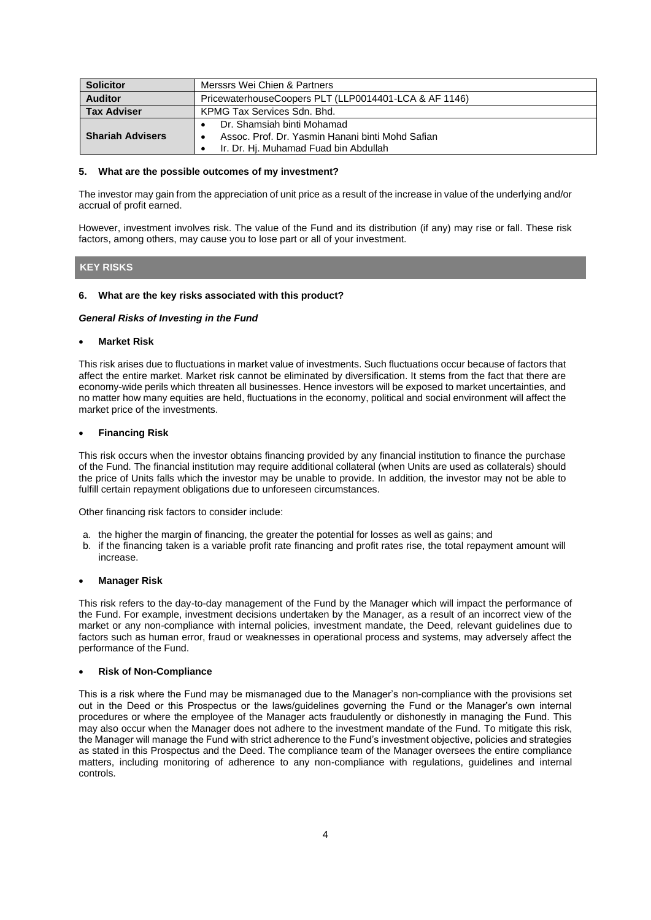| <b>Solicitor</b>        | Merssrs Wei Chien & Partners                          |  |  |
|-------------------------|-------------------------------------------------------|--|--|
| <b>Auditor</b>          | PricewaterhouseCoopers PLT (LLP0014401-LCA & AF 1146) |  |  |
| <b>Tax Adviser</b>      | KPMG Tax Services Sdn. Bhd.                           |  |  |
|                         | Dr. Shamsiah binti Mohamad                            |  |  |
| <b>Shariah Advisers</b> | Assoc. Prof. Dr. Yasmin Hanani binti Mohd Safian      |  |  |
|                         | Ir. Dr. Hi. Muhamad Fuad bin Abdullah                 |  |  |

#### **5. What are the possible outcomes of my investment?**

The investor may gain from the appreciation of unit price as a result of the increase in value of the underlying and/or accrual of profit earned.

However, investment involves risk. The value of the Fund and its distribution (if any) may rise or fall. These risk factors, among others, may cause you to lose part or all of your investment.

#### **KEY RISKS**

#### **6. What are the key risks associated with this product?**

#### *General Risks of Investing in the Fund*

#### • **Market Risk**

This risk arises due to fluctuations in market value of investments. Such fluctuations occur because of factors that affect the entire market. Market risk cannot be eliminated by diversification. It stems from the fact that there are economy-wide perils which threaten all businesses. Hence investors will be exposed to market uncertainties, and no matter how many equities are held, fluctuations in the economy, political and social environment will affect the market price of the investments.

#### • **Financing Risk**

This risk occurs when the investor obtains financing provided by any financial institution to finance the purchase of the Fund. The financial institution may require additional collateral (when Units are used as collaterals) should the price of Units falls which the investor may be unable to provide. In addition, the investor may not be able to fulfill certain repayment obligations due to unforeseen circumstances.

Other financing risk factors to consider include:

- a. the higher the margin of financing, the greater the potential for losses as well as gains; and
- b. if the financing taken is a variable profit rate financing and profit rates rise, the total repayment amount will increase.

### • **Manager Risk**

This risk refers to the day-to-day management of the Fund by the Manager which will impact the performance of the Fund. For example, investment decisions undertaken by the Manager, as a result of an incorrect view of the market or any non-compliance with internal policies, investment mandate, the Deed, relevant guidelines due to factors such as human error, fraud or weaknesses in operational process and systems, may adversely affect the performance of the Fund.

#### • **Risk of Non-Compliance**

This is a risk where the Fund may be mismanaged due to the Manager's non-compliance with the provisions set out in the Deed or this Prospectus or the laws/guidelines governing the Fund or the Manager's own internal procedures or where the employee of the Manager acts fraudulently or dishonestly in managing the Fund. This may also occur when the Manager does not adhere to the investment mandate of the Fund. To mitigate this risk, the Manager will manage the Fund with strict adherence to the Fund's investment objective, policies and strategies as stated in this Prospectus and the Deed. The compliance team of the Manager oversees the entire compliance matters, including monitoring of adherence to any non-compliance with regulations, guidelines and internal controls.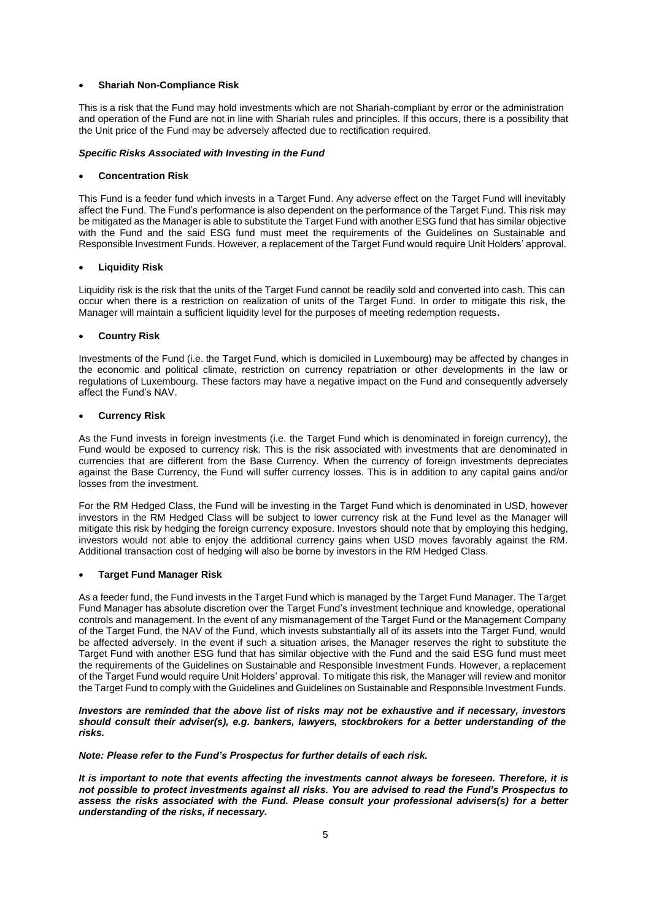#### • **Shariah Non-Compliance Risk**

This is a risk that the Fund may hold investments which are not Shariah-compliant by error or the administration and operation of the Fund are not in line with Shariah rules and principles. If this occurs, there is a possibility that the Unit price of the Fund may be adversely affected due to rectification required.

#### *Specific Risks Associated with Investing in the Fund*

#### • **Concentration Risk**

This Fund is a feeder fund which invests in a Target Fund. Any adverse effect on the Target Fund will inevitably affect the Fund. The Fund's performance is also dependent on the performance of the Target Fund. This risk may be mitigated as the Manager is able to substitute the Target Fund with another ESG fund that has similar objective with the Fund and the said ESG fund must meet the requirements of the Guidelines on Sustainable and Responsible Investment Funds. However, a replacement of the Target Fund would require Unit Holders' approval.

#### • **Liquidity Risk**

Liquidity risk is the risk that the units of the Target Fund cannot be readily sold and converted into cash. This can occur when there is a restriction on realization of units of the Target Fund. In order to mitigate this risk, the Manager will maintain a sufficient liquidity level for the purposes of meeting redemption requests**.**

#### • **Country Risk**

Investments of the Fund (i.e. the Target Fund, which is domiciled in Luxembourg) may be affected by changes in the economic and political climate, restriction on currency repatriation or other developments in the law or regulations of Luxembourg. These factors may have a negative impact on the Fund and consequently adversely affect the Fund's NAV.

#### • **Currency Risk**

As the Fund invests in foreign investments (i.e. the Target Fund which is denominated in foreign currency), the Fund would be exposed to currency risk. This is the risk associated with investments that are denominated in currencies that are different from the Base Currency. When the currency of foreign investments depreciates against the Base Currency, the Fund will suffer currency losses. This is in addition to any capital gains and/or losses from the investment.

For the RM Hedged Class, the Fund will be investing in the Target Fund which is denominated in USD, however investors in the RM Hedged Class will be subject to lower currency risk at the Fund level as the Manager will mitigate this risk by hedging the foreign currency exposure. Investors should note that by employing this hedging, investors would not able to enjoy the additional currency gains when USD moves favorably against the RM. Additional transaction cost of hedging will also be borne by investors in the RM Hedged Class.

## • **Target Fund Manager Risk**

As a feeder fund, the Fund invests in the Target Fund which is managed by the Target Fund Manager. The Target Fund Manager has absolute discretion over the Target Fund's investment technique and knowledge, operational controls and management. In the event of any mismanagement of the Target Fund or the Management Company of the Target Fund, the NAV of the Fund, which invests substantially all of its assets into the Target Fund, would be affected adversely. In the event if such a situation arises, the Manager reserves the right to substitute the Target Fund with another ESG fund that has similar objective with the Fund and the said ESG fund must meet the requirements of the Guidelines on Sustainable and Responsible Investment Funds. However, a replacement of the Target Fund would require Unit Holders' approval. To mitigate this risk, the Manager will review and monitor the Target Fund to comply with the Guidelines and Guidelines on Sustainable and Responsible Investment Funds.

#### *Investors are reminded that the above list of risks may not be exhaustive and if necessary, investors should consult their adviser(s), e.g. bankers, lawyers, stockbrokers for a better understanding of the risks.*

*Note: Please refer to the Fund's Prospectus for further details of each risk.*

*It is important to note that events affecting the investments cannot always be foreseen. Therefore, it is not possible to protect investments against all risks. You are advised to read the Fund's Prospectus to assess the risks associated with the Fund. Please consult your professional advisers(s) for a better understanding of the risks, if necessary.*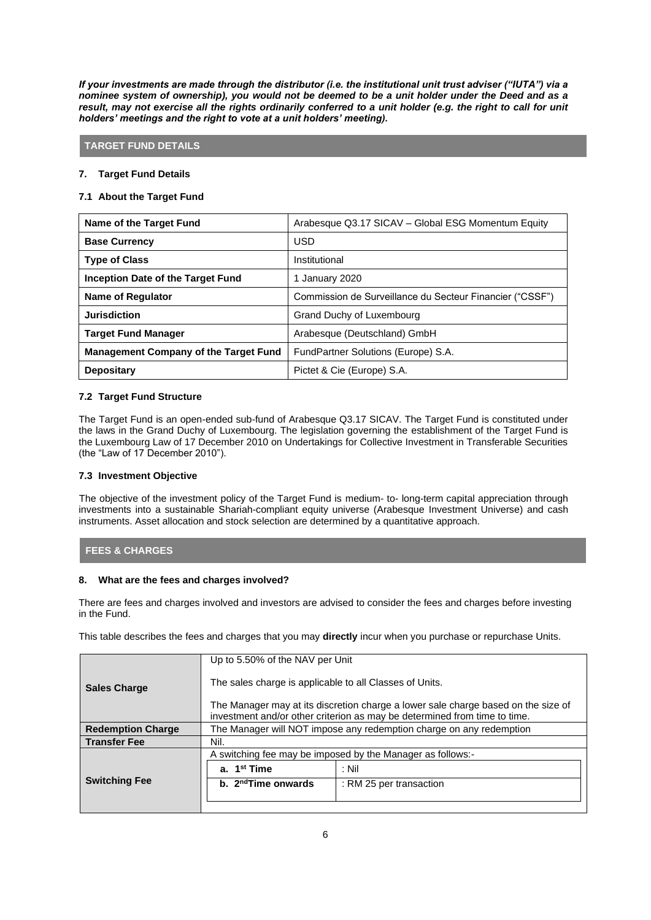*If your investments are made through the distributor (i.e. the institutional unit trust adviser ("IUTA") via a nominee system of ownership), you would not be deemed to be a unit holder under the Deed and as a*  result, may not exercise all the rights ordinarily conferred to a unit holder (e.g. the right to call for unit *holders' meetings and the right to vote at a unit holders' meeting).*

## **TARGET FUND DETAILS**

## **7. Target Fund Details**

## **7.1 About the Target Fund**

| Name of the Target Fund                      | Arabesque Q3.17 SICAV - Global ESG Momentum Equity       |
|----------------------------------------------|----------------------------------------------------------|
| <b>Base Currency</b>                         | USD                                                      |
| <b>Type of Class</b>                         | Institutional                                            |
| Inception Date of the Target Fund            | 1 January 2020                                           |
| Name of Regulator                            | Commission de Surveillance du Secteur Financier ("CSSF") |
| <b>Jurisdiction</b>                          | Grand Duchy of Luxembourg                                |
| <b>Target Fund Manager</b>                   | Arabesque (Deutschland) GmbH                             |
| <b>Management Company of the Target Fund</b> | FundPartner Solutions (Europe) S.A.                      |
| <b>Depositary</b>                            | Pictet & Cie (Europe) S.A.                               |

## **7.2 Target Fund Structure**

The Target Fund is an open-ended sub-fund of Arabesque Q3.17 SICAV. The Target Fund is constituted under the laws in the Grand Duchy of Luxembourg. The legislation governing the establishment of the Target Fund is the Luxembourg Law of 17 December 2010 on Undertakings for Collective Investment in Transferable Securities (the "Law of 17 December 2010").

#### **7.3 Investment Objective**

The objective of the investment policy of the Target Fund is medium- to- long-term capital appreciation through investments into a sustainable Shariah-compliant equity universe (Arabesque Investment Universe) and cash instruments. Asset allocation and stock selection are determined by a quantitative approach.

## **FEES & CHARGES**

## **8. What are the fees and charges involved?**

There are fees and charges involved and investors are advised to consider the fees and charges before investing in the Fund.

This table describes the fees and charges that you may **directly** incur when you purchase or repurchase Units.

|                          | Up to 5.50% of the NAV per Unit                                                                                                                                                                                           |                         |  |
|--------------------------|---------------------------------------------------------------------------------------------------------------------------------------------------------------------------------------------------------------------------|-------------------------|--|
| <b>Sales Charge</b>      | The sales charge is applicable to all Classes of Units.<br>The Manager may at its discretion charge a lower sale charge based on the size of<br>investment and/or other criterion as may be determined from time to time. |                         |  |
|                          |                                                                                                                                                                                                                           |                         |  |
| <b>Redemption Charge</b> | The Manager will NOT impose any redemption charge on any redemption                                                                                                                                                       |                         |  |
| <b>Transfer Fee</b>      | Nil.                                                                                                                                                                                                                      |                         |  |
|                          | A switching fee may be imposed by the Manager as follows:-                                                                                                                                                                |                         |  |
|                          | a. 1 <sup>st</sup> Time                                                                                                                                                                                                   | : Nil                   |  |
| <b>Switching Fee</b>     | b. 2 <sup>nd</sup> Time onwards                                                                                                                                                                                           | : RM 25 per transaction |  |
|                          |                                                                                                                                                                                                                           |                         |  |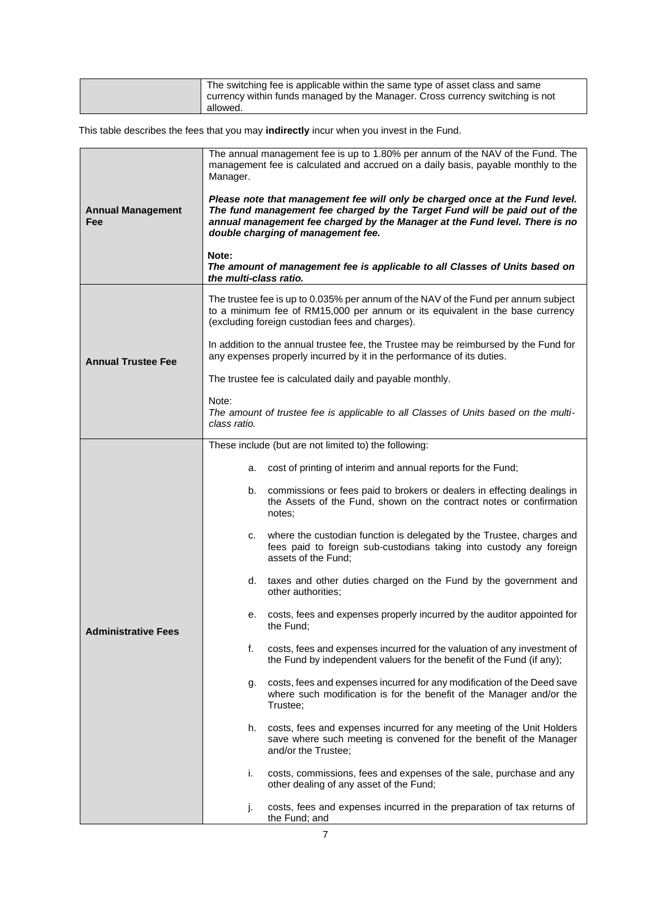| The switching fee is applicable within the same type of asset class and same              |
|-------------------------------------------------------------------------------------------|
| currency within funds managed by the Manager. Cross currency switching is not<br>allowed. |
|                                                                                           |

This table describes the fees that you may **indirectly** incur when you invest in the Fund.

|                                 | The annual management fee is up to 1.80% per annum of the NAV of the Fund. The<br>management fee is calculated and accrued on a daily basis, payable monthly to the<br>Manager.                                                                                                 |  |  |  |
|---------------------------------|---------------------------------------------------------------------------------------------------------------------------------------------------------------------------------------------------------------------------------------------------------------------------------|--|--|--|
| <b>Annual Management</b><br>Fee | Please note that management fee will only be charged once at the Fund level.<br>The fund management fee charged by the Target Fund will be paid out of the<br>annual management fee charged by the Manager at the Fund level. There is no<br>double charging of management fee. |  |  |  |
|                                 | Note:<br>The amount of management fee is applicable to all Classes of Units based on<br>the multi-class ratio.                                                                                                                                                                  |  |  |  |
|                                 | The trustee fee is up to 0.035% per annum of the NAV of the Fund per annum subject<br>to a minimum fee of RM15,000 per annum or its equivalent in the base currency<br>(excluding foreign custodian fees and charges).                                                          |  |  |  |
| <b>Annual Trustee Fee</b>       | In addition to the annual trustee fee, the Trustee may be reimbursed by the Fund for<br>any expenses properly incurred by it in the performance of its duties.                                                                                                                  |  |  |  |
|                                 | The trustee fee is calculated daily and payable monthly.                                                                                                                                                                                                                        |  |  |  |
|                                 | Note:<br>The amount of trustee fee is applicable to all Classes of Units based on the multi-<br>class ratio.                                                                                                                                                                    |  |  |  |
|                                 | These include (but are not limited to) the following:                                                                                                                                                                                                                           |  |  |  |
|                                 | cost of printing of interim and annual reports for the Fund;<br>а.                                                                                                                                                                                                              |  |  |  |
|                                 | commissions or fees paid to brokers or dealers in effecting dealings in<br>b.<br>the Assets of the Fund, shown on the contract notes or confirmation<br>notes;                                                                                                                  |  |  |  |
|                                 | where the custodian function is delegated by the Trustee, charges and<br>C.<br>fees paid to foreign sub-custodians taking into custody any foreign<br>assets of the Fund;                                                                                                       |  |  |  |
|                                 | d. taxes and other duties charged on the Fund by the government and<br>other authorities;                                                                                                                                                                                       |  |  |  |
| <b>Administrative Fees</b>      | costs, fees and expenses properly incurred by the auditor appointed for<br>е.<br>the Fund:                                                                                                                                                                                      |  |  |  |
|                                 | costs, fees and expenses incurred for the valuation of any investment of<br>f.<br>the Fund by independent valuers for the benefit of the Fund (if any);                                                                                                                         |  |  |  |
|                                 | costs, fees and expenses incurred for any modification of the Deed save<br>g.<br>where such modification is for the benefit of the Manager and/or the<br>Trustee;                                                                                                               |  |  |  |
|                                 | costs, fees and expenses incurred for any meeting of the Unit Holders<br>h.<br>save where such meeting is convened for the benefit of the Manager<br>and/or the Trustee;                                                                                                        |  |  |  |
|                                 | i.<br>costs, commissions, fees and expenses of the sale, purchase and any<br>other dealing of any asset of the Fund;                                                                                                                                                            |  |  |  |
|                                 | costs, fees and expenses incurred in the preparation of tax returns of<br>j.<br>the Fund; and                                                                                                                                                                                   |  |  |  |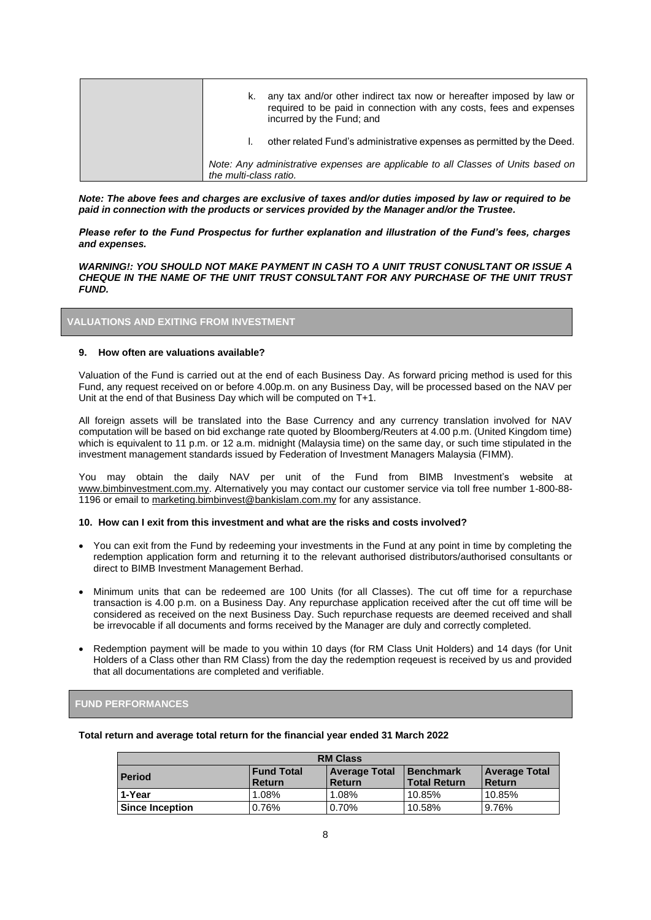| k.                     | any tax and/or other indirect tax now or hereafter imposed by law or<br>required to be paid in connection with any costs, fees and expenses<br>incurred by the Fund; and |
|------------------------|--------------------------------------------------------------------------------------------------------------------------------------------------------------------------|
|                        | other related Fund's administrative expenses as permitted by the Deed.                                                                                                   |
| the multi-class ratio. | Note: Any administrative expenses are applicable to all Classes of Units based on                                                                                        |

*Note: The above fees and charges are exclusive of taxes and/or duties imposed by law or required to be paid in connection with the products or services provided by the Manager and/or the Trustee.*

*Please refer to the Fund Prospectus for further explanation and illustration of the Fund's fees, charges and expenses.*

*WARNING!: YOU SHOULD NOT MAKE PAYMENT IN CASH TO A UNIT TRUST CONUSLTANT OR ISSUE A CHEQUE IN THE NAME OF THE UNIT TRUST CONSULTANT FOR ANY PURCHASE OF THE UNIT TRUST FUND.*

## **VALUATIONS AND EXITING FROM INVESTMENT**

#### **9. How often are valuations available?**

Valuation of the Fund is carried out at the end of each Business Day. As forward pricing method is used for this Fund, any request received on or before 4.00p.m. on any Business Day, will be processed based on the NAV per Unit at the end of that Business Day which will be computed on T+1.

All foreign assets will be translated into the Base Currency and any currency translation involved for NAV computation will be based on bid exchange rate quoted by Bloomberg/Reuters at 4.00 p.m. (United Kingdom time) which is equivalent to 11 p.m. or 12 a.m. midnight (Malaysia time) on the same day, or such time stipulated in the investment management standards issued by Federation of Investment Managers Malaysia (FIMM).

You may obtain the daily NAV per unit of the Fund from BIMB Investment's website at [www.bimbinvestment.com.my.](http://www.bimbinvestment.com.my/) Alternatively you may contact our customer service via toll free number 1-800-88-1196 or email to [marketing.bimbinvest@bankislam.com.my](mailto:marketing.bimbinvest@bankislam.com.my) for any assistance.

#### **10. How can I exit from this investment and what are the risks and costs involved?**

- You can exit from the Fund by redeeming your investments in the Fund at any point in time by completing the redemption application form and returning it to the relevant authorised distributors/authorised consultants or direct to BIMB Investment Management Berhad.
- Minimum units that can be redeemed are 100 Units (for all Classes). The cut off time for a repurchase transaction is 4.00 p.m. on a Business Day. Any repurchase application received after the cut off time will be considered as received on the next Business Day. Such repurchase requests are deemed received and shall be irrevocable if all documents and forms received by the Manager are duly and correctly completed.
- Redemption payment will be made to you within 10 days (for RM Class Unit Holders) and 14 days (for Unit Holders of a Class other than RM Class) from the day the redemption reqeuest is received by us and provided that all documentations are completed and verifiable.

## **FUND PERFORMANCES**

| Total return and average total return for the financial year ended 31 March 2022 |  |
|----------------------------------------------------------------------------------|--|
|----------------------------------------------------------------------------------|--|

| <b>RM Class</b>        |                                         |                                |        |        |
|------------------------|-----------------------------------------|--------------------------------|--------|--------|
| <b>Period</b>          | <b>Benchmark</b><br><b>Total Return</b> | <b>Average Total</b><br>Return |        |        |
| 1-Year                 | 1.08%                                   | 1.08%                          | 10.85% | 10.85% |
| <b>Since Inception</b> | 0.76%                                   | 0.70%                          | 10.58% | 9.76%  |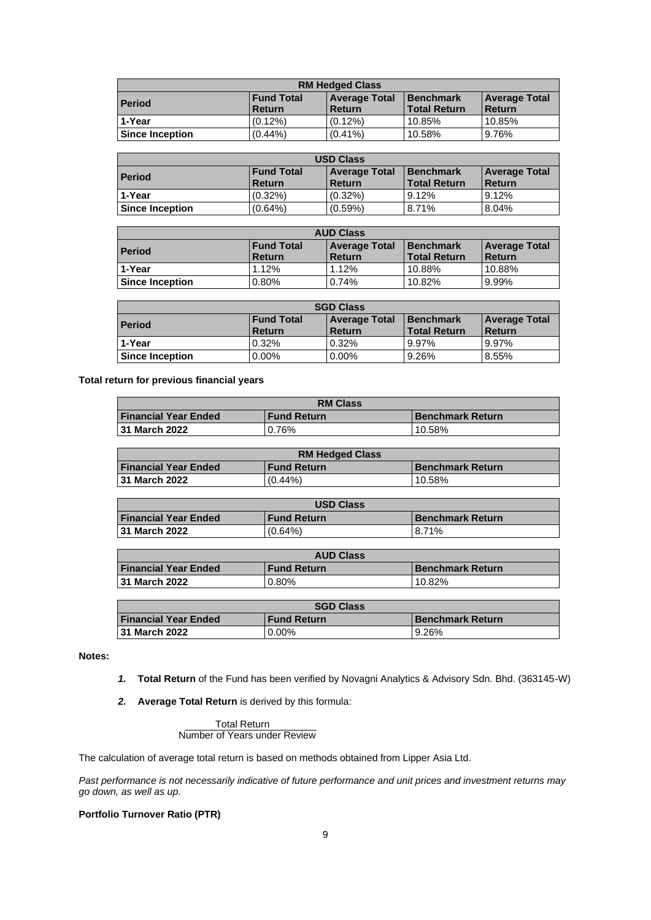| <b>RM Hedged Class</b> |                                         |                                |        |        |
|------------------------|-----------------------------------------|--------------------------------|--------|--------|
| <b>Period</b>          | <b>Benchmark</b><br><b>Total Return</b> | <b>Average Total</b><br>Return |        |        |
| 1-Year                 | $(0.12\%)$                              | $(0.12\%)$                     | 10.85% | 10.85% |
| <b>Since Inception</b> | $(0.44\%)$                              | $(0.41\%)$                     | 10.58% | 9.76%  |

| <b>USD Class</b>                                                     |            |                      |                                         |                                       |
|----------------------------------------------------------------------|------------|----------------------|-----------------------------------------|---------------------------------------|
| <b>Fund Total</b><br><b>Period</b><br><b>Return</b><br><b>Return</b> |            | <b>Average Total</b> | <b>Benchmark</b><br><b>Total Return</b> | <b>Average Total</b><br><b>Return</b> |
| 1-Year                                                               | $(0.32\%)$ | $(0.32\%)$           | 9.12%                                   | 9.12%                                 |
| <b>Since Inception</b>                                               | $(0.64\%)$ | $(0.59\%)$           | 8.71%                                   | 8.04%                                 |

| <b>AUD Class</b>                                                     |       |                      |                               |                                       |
|----------------------------------------------------------------------|-------|----------------------|-------------------------------|---------------------------------------|
| <b>Fund Total</b><br><b>Period</b><br><b>Return</b><br><b>Return</b> |       | <b>Average Total</b> | I Benchmark<br>l Total Return | <b>Average Total</b><br><b>Return</b> |
| 1-Year                                                               | 1.12% | 1.12%                | 10.88%                        | 10.88%                                |
| <b>Since Inception</b>                                               | 0.80% | 0.74%                | 10.82%                        | 9.99%                                 |

| <b>SGD Class</b>       |                                    |                                |       |       |
|------------------------|------------------------------------|--------------------------------|-------|-------|
| <b>Period</b>          | l Benchmark<br><b>Total Return</b> | <b>Average Total</b><br>Return |       |       |
| 1-Year                 | 0.32%                              | 0.32%                          | 9.97% | 9.97% |
| <b>Since Inception</b> | 0.00%                              | $0.00\%$                       | 9.26% | 8.55% |

**Total return for previous financial years**

| <b>RM Class</b>             |                    |                         |  |
|-----------------------------|--------------------|-------------------------|--|
| <b>Financial Year Ended</b> | <b>Fund Return</b> | <b>Benchmark Return</b> |  |
| 31 March 2022               | 0.76%              | 10.58%                  |  |

| <b>RM Hedged Class</b>      |                    |                    |  |
|-----------------------------|--------------------|--------------------|--|
| <b>Financial Year Ended</b> | <b>Fund Return</b> | l Benchmark Return |  |
| 31 March 2022               | $(0.44\%)$         | 10.58%             |  |

| <b>USD Class</b>            |                    |                         |  |
|-----------------------------|--------------------|-------------------------|--|
| <b>Financial Year Ended</b> | <b>Fund Return</b> | <b>Benchmark Return</b> |  |
| 31 March 2022               | $(0.64\%)$         | 8.71%                   |  |

| <b>AUD Class</b>            |                    |                         |  |
|-----------------------------|--------------------|-------------------------|--|
| <b>Financial Year Ended</b> | <b>Fund Return</b> | <b>Benchmark Return</b> |  |
| 31 March 2022               | 0.80%              | 10.82%                  |  |

| <b>SGD Class</b>                                                             |          |       |  |
|------------------------------------------------------------------------------|----------|-------|--|
| <b>Financial Year Ended</b><br><b>Benchmark Return</b><br><b>Fund Return</b> |          |       |  |
| <b>131 March 2022</b>                                                        | $0.00\%$ | 9.26% |  |

## **Notes:**

- *1.* **Total Return** of the Fund has been verified by Novagni Analytics & Advisory Sdn. Bhd. (363145-W)
- *2.* **Average Total Return** is derived by this formula:

 Total Return Number of Years under Review

The calculation of average total return is based on methods obtained from Lipper Asia Ltd.

*Past performance is not necessarily indicative of future performance and unit prices and investment returns may go down, as well as up.*

## **Portfolio Turnover Ratio (PTR)**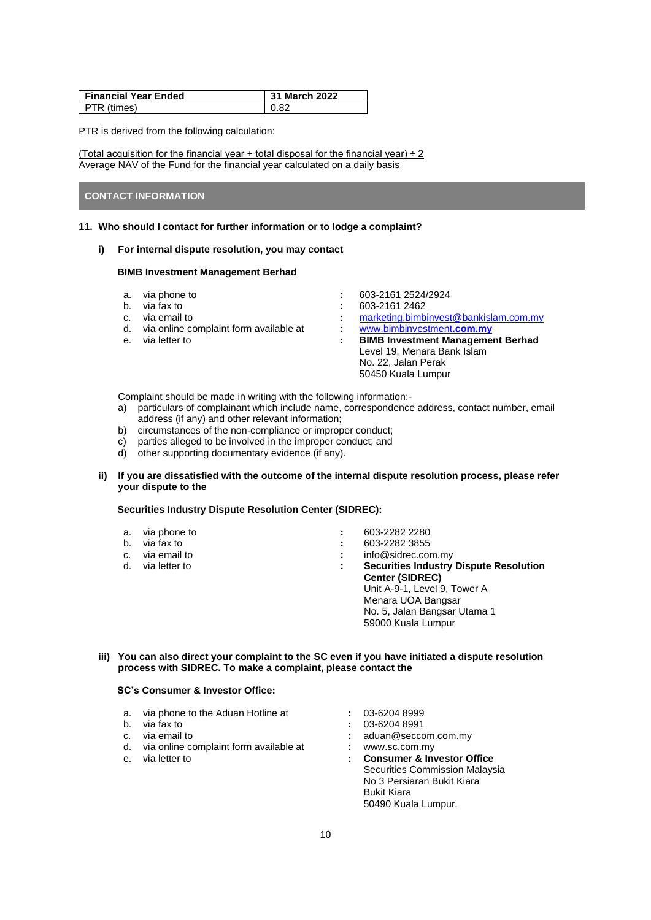| <b>Financial Year Ended</b> | 31 March 2022 |
|-----------------------------|---------------|
| PTR (times)                 | 0.82          |

PTR is derived from the following calculation:

(Total acquisition for the financial year + total disposal for the financial year) ÷ 2 Average NAV of the Fund for the financial year calculated on a daily basis

### **CONTACT INFORMATION**

#### **11. Who should I contact for further information or to lodge a complaint?**

**i) For internal dispute resolution, you may contact** 

#### **BIMB Investment Management Berhad**

- 
- 
- 
- d. via online complaint form available at **:** [www.bimbinvestment](http://www.bimbinvestment.com.my/)**.com.my**
- 
- a. via phone to **:** 603-2161 2524/2924
- b. via fax to **:** 603-2161 2462
- c. via email to **:** [marketing.bimbinvest@bankislam.com.my](mailto:marketing.bimbinvest@bankislam.com.my)
- e. via letter to **: BIMB Investment Management Berhad** Level 19, Menara Bank Islam No. 22, Jalan Perak 50450 Kuala Lumpur

Complaint should be made in writing with the following information:-

- a) particulars of complainant which include name, correspondence address, contact number, email address (if any) and other relevant information;
- b) circumstances of the non-compliance or improper conduct;
- c) parties alleged to be involved in the improper conduct; and
- d) other supporting documentary evidence (if any).
- **ii) If you are dissatisfied with the outcome of the internal dispute resolution process, please refer your dispute to the**

### **Securities Industry Dispute Resolution Center (SIDREC):**

| a. via phone to  | $\blacksquare$ |   | 603-2282 2280                                 |
|------------------|----------------|---|-----------------------------------------------|
| b. via fax to    | ÷              |   | 603-2282 3855                                 |
| c. via email to  | ÷              |   | info@sidrec.com.my                            |
| d. via letter to |                | ÷ | <b>Securities Industry Dispute Resolution</b> |
|                  |                |   | <b>Center (SIDREC)</b>                        |
|                  |                |   | Unit A-9-1, Level 9, Tower A                  |
|                  |                |   | Menara UOA Bangsar                            |
|                  |                |   | No. 5, Jalan Bangsar Utama 1                  |
|                  |                |   | 59000 Kuala Lumpur                            |
|                  |                |   |                                               |

## **iii) You can also direct your complaint to the SC even if you have initiated a dispute resolution process with SIDREC. To make a complaint, please contact the**

## **SC's Consumer & Investor Office:**

- a. via phone to the Aduan Hotline at **:** 03-6204 8999
- b. via fax to **:**
- 
- d. via online complaint form available at **:** www.sc.com.my
- 
- 
- 
- c. via email to **:** aduan@seccom.com.my
	-
	- : Consumer & Investor Office Securities Commission Malaysia No 3 Persiaran Bukit Kiara Bukit Kiara 50490 Kuala Lumpur.